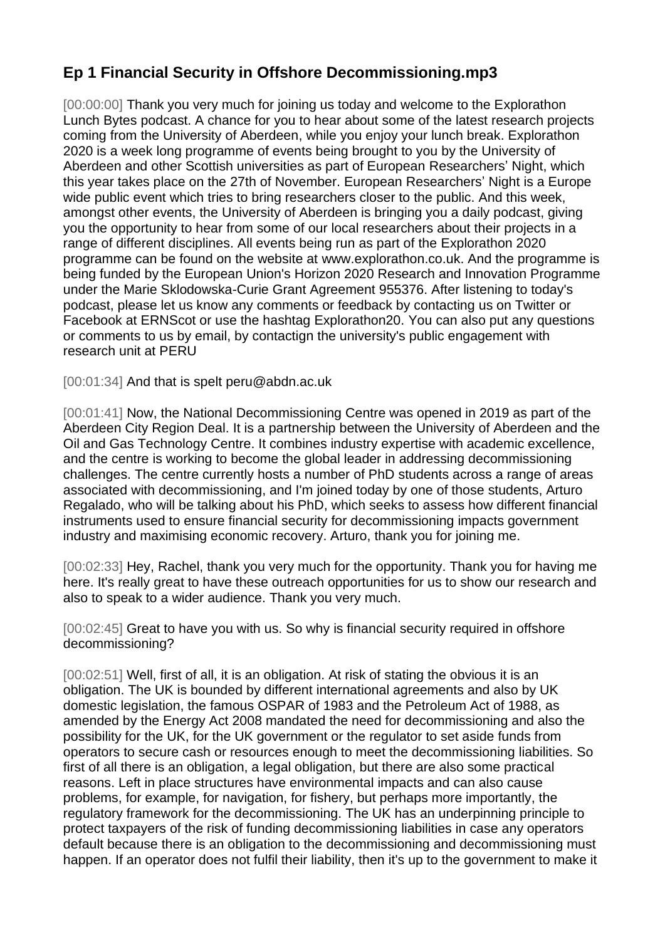## **Ep 1 Financial Security in Offshore Decommissioning.mp3**

[00:00:00] Thank you very much for joining us today and welcome to the Explorathon Lunch Bytes podcast. A chance for you to hear about some of the latest research projects coming from the University of Aberdeen, while you enjoy your lunch break. Explorathon 2020 is a week long programme of events being brought to you by the University of Aberdeen and other Scottish universities as part of European Researchers' Night, which this year takes place on the 27th of November. European Researchers' Night is a Europe wide public event which tries to bring researchers closer to the public. And this week, amongst other events, the University of Aberdeen is bringing you a daily podcast, giving you the opportunity to hear from some of our local researchers about their projects in a range of different disciplines. All events being run as part of the Explorathon 2020 programme can be found on the website at www.explorathon.co.uk. And the programme is being funded by the European Union's Horizon 2020 Research and Innovation Programme under the Marie Sklodowska-Curie Grant Agreement 955376. After listening to today's podcast, please let us know any comments or feedback by contacting us on Twitter or Facebook at ERNScot or use the hashtag Explorathon20. You can also put any questions or comments to us by email, by contactign the university's public engagement with research unit at PERU

[00:01:34] And that is spelt peru@abdn.ac.uk

[00:01:41] Now, the National Decommissioning Centre was opened in 2019 as part of the Aberdeen City Region Deal. It is a partnership between the University of Aberdeen and the Oil and Gas Technology Centre. It combines industry expertise with academic excellence, and the centre is working to become the global leader in addressing decommissioning challenges. The centre currently hosts a number of PhD students across a range of areas associated with decommissioning, and I'm joined today by one of those students, Arturo Regalado, who will be talking about his PhD, which seeks to assess how different financial instruments used to ensure financial security for decommissioning impacts government industry and maximising economic recovery. Arturo, thank you for joining me.

[00:02:33] Hey, Rachel, thank you very much for the opportunity. Thank you for having me here. It's really great to have these outreach opportunities for us to show our research and also to speak to a wider audience. Thank you very much.

[00:02:45] Great to have you with us. So why is financial security required in offshore decommissioning?

[00:02:51] Well, first of all, it is an obligation. At risk of stating the obvious it is an obligation. The UK is bounded by different international agreements and also by UK domestic legislation, the famous OSPAR of 1983 and the Petroleum Act of 1988, as amended by the Energy Act 2008 mandated the need for decommissioning and also the possibility for the UK, for the UK government or the regulator to set aside funds from operators to secure cash or resources enough to meet the decommissioning liabilities. So first of all there is an obligation, a legal obligation, but there are also some practical reasons. Left in place structures have environmental impacts and can also cause problems, for example, for navigation, for fishery, but perhaps more importantly, the regulatory framework for the decommissioning. The UK has an underpinning principle to protect taxpayers of the risk of funding decommissioning liabilities in case any operators default because there is an obligation to the decommissioning and decommissioning must happen. If an operator does not fulfil their liability, then it's up to the government to make it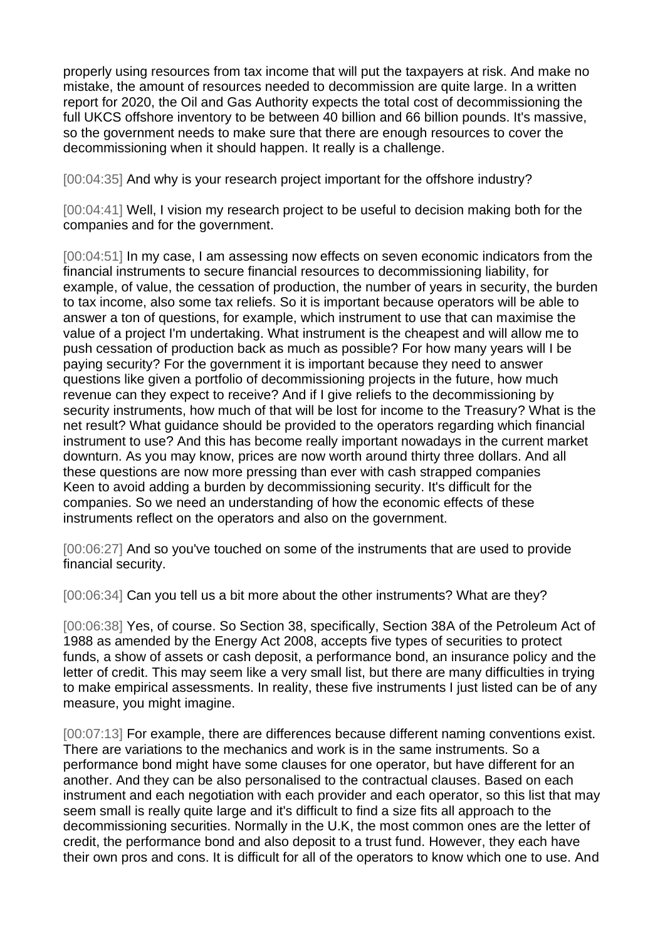properly using resources from tax income that will put the taxpayers at risk. And make no mistake, the amount of resources needed to decommission are quite large. In a written report for 2020, the Oil and Gas Authority expects the total cost of decommissioning the full UKCS offshore inventory to be between 40 billion and 66 billion pounds. It's massive, so the government needs to make sure that there are enough resources to cover the decommissioning when it should happen. It really is a challenge.

[00:04:35] And why is your research project important for the offshore industry?

[00:04:41] Well, I vision my research project to be useful to decision making both for the companies and for the government.

[00:04:51] In my case, I am assessing now effects on seven economic indicators from the financial instruments to secure financial resources to decommissioning liability, for example, of value, the cessation of production, the number of years in security, the burden to tax income, also some tax reliefs. So it is important because operators will be able to answer a ton of questions, for example, which instrument to use that can maximise the value of a project I'm undertaking. What instrument is the cheapest and will allow me to push cessation of production back as much as possible? For how many years will I be paying security? For the government it is important because they need to answer questions like given a portfolio of decommissioning projects in the future, how much revenue can they expect to receive? And if I give reliefs to the decommissioning by security instruments, how much of that will be lost for income to the Treasury? What is the net result? What guidance should be provided to the operators regarding which financial instrument to use? And this has become really important nowadays in the current market downturn. As you may know, prices are now worth around thirty three dollars. And all these questions are now more pressing than ever with cash strapped companies Keen to avoid adding a burden by decommissioning security. It's difficult for the companies. So we need an understanding of how the economic effects of these instruments reflect on the operators and also on the government.

[00:06:27] And so you've touched on some of the instruments that are used to provide financial security.

[00:06:34] Can you tell us a bit more about the other instruments? What are they?

[00:06:38] Yes, of course. So Section 38, specifically, Section 38A of the Petroleum Act of 1988 as amended by the Energy Act 2008, accepts five types of securities to protect funds, a show of assets or cash deposit, a performance bond, an insurance policy and the letter of credit. This may seem like a very small list, but there are many difficulties in trying to make empirical assessments. In reality, these five instruments I just listed can be of any measure, you might imagine.

[00:07:13] For example, there are differences because different naming conventions exist. There are variations to the mechanics and work is in the same instruments. So a performance bond might have some clauses for one operator, but have different for an another. And they can be also personalised to the contractual clauses. Based on each instrument and each negotiation with each provider and each operator, so this list that may seem small is really quite large and it's difficult to find a size fits all approach to the decommissioning securities. Normally in the U.K, the most common ones are the letter of credit, the performance bond and also deposit to a trust fund. However, they each have their own pros and cons. It is difficult for all of the operators to know which one to use. And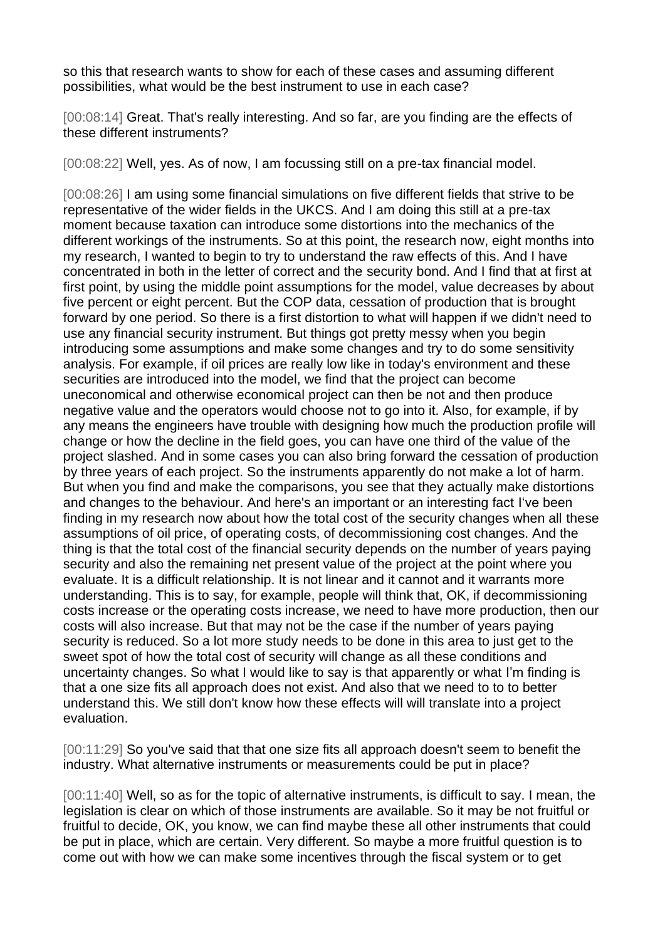so this that research wants to show for each of these cases and assuming different possibilities, what would be the best instrument to use in each case?

[00:08:14] Great. That's really interesting. And so far, are you finding are the effects of these different instruments?

[00:08:22] Well, yes. As of now, I am focussing still on a pre-tax financial model.

[00:08:26] I am using some financial simulations on five different fields that strive to be representative of the wider fields in the UKCS. And I am doing this still at a pre-tax moment because taxation can introduce some distortions into the mechanics of the different workings of the instruments. So at this point, the research now, eight months into my research, I wanted to begin to try to understand the raw effects of this. And I have concentrated in both in the letter of correct and the security bond. And I find that at first at first point, by using the middle point assumptions for the model, value decreases by about five percent or eight percent. But the COP data, cessation of production that is brought forward by one period. So there is a first distortion to what will happen if we didn't need to use any financial security instrument. But things got pretty messy when you begin introducing some assumptions and make some changes and try to do some sensitivity analysis. For example, if oil prices are really low like in today's environment and these securities are introduced into the model, we find that the project can become uneconomical and otherwise economical project can then be not and then produce negative value and the operators would choose not to go into it. Also, for example, if by any means the engineers have trouble with designing how much the production profile will change or how the decline in the field goes, you can have one third of the value of the project slashed. And in some cases you can also bring forward the cessation of production by three years of each project. So the instruments apparently do not make a lot of harm. But when you find and make the comparisons, you see that they actually make distortions and changes to the behaviour. And here's an important or an interesting fact I've been finding in my research now about how the total cost of the security changes when all these assumptions of oil price, of operating costs, of decommissioning cost changes. And the thing is that the total cost of the financial security depends on the number of years paying security and also the remaining net present value of the project at the point where you evaluate. It is a difficult relationship. It is not linear and it cannot and it warrants more understanding. This is to say, for example, people will think that, OK, if decommissioning costs increase or the operating costs increase, we need to have more production, then our costs will also increase. But that may not be the case if the number of years paying security is reduced. So a lot more study needs to be done in this area to just get to the sweet spot of how the total cost of security will change as all these conditions and uncertainty changes. So what I would like to say is that apparently or what I'm finding is that a one size fits all approach does not exist. And also that we need to to to better understand this. We still don't know how these effects will will translate into a project evaluation.

[00:11:29] So you've said that that one size fits all approach doesn't seem to benefit the industry. What alternative instruments or measurements could be put in place?

[00:11:40] Well, so as for the topic of alternative instruments, is difficult to say. I mean, the legislation is clear on which of those instruments are available. So it may be not fruitful or fruitful to decide, OK, you know, we can find maybe these all other instruments that could be put in place, which are certain. Very different. So maybe a more fruitful question is to come out with how we can make some incentives through the fiscal system or to get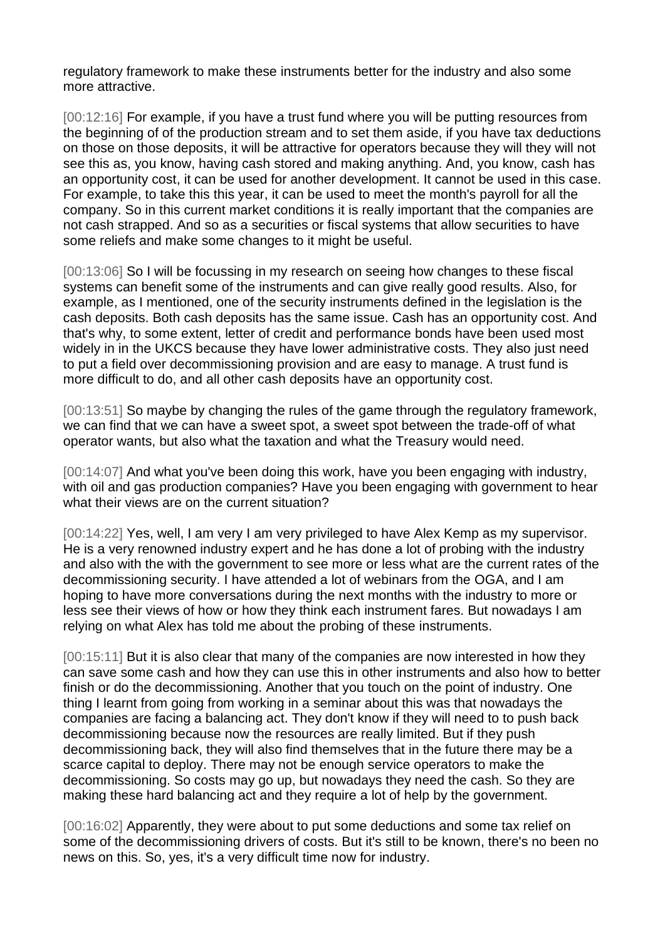regulatory framework to make these instruments better for the industry and also some more attractive.

[00:12:16] For example, if you have a trust fund where you will be putting resources from the beginning of of the production stream and to set them aside, if you have tax deductions on those on those deposits, it will be attractive for operators because they will they will not see this as, you know, having cash stored and making anything. And, you know, cash has an opportunity cost, it can be used for another development. It cannot be used in this case. For example, to take this this year, it can be used to meet the month's payroll for all the company. So in this current market conditions it is really important that the companies are not cash strapped. And so as a securities or fiscal systems that allow securities to have some reliefs and make some changes to it might be useful.

[00:13:06] So I will be focussing in my research on seeing how changes to these fiscal systems can benefit some of the instruments and can give really good results. Also, for example, as I mentioned, one of the security instruments defined in the legislation is the cash deposits. Both cash deposits has the same issue. Cash has an opportunity cost. And that's why, to some extent, letter of credit and performance bonds have been used most widely in in the UKCS because they have lower administrative costs. They also just need to put a field over decommissioning provision and are easy to manage. A trust fund is more difficult to do, and all other cash deposits have an opportunity cost.

[00:13:51] So maybe by changing the rules of the game through the regulatory framework, we can find that we can have a sweet spot, a sweet spot between the trade-off of what operator wants, but also what the taxation and what the Treasury would need.

[00:14:07] And what you've been doing this work, have you been engaging with industry, with oil and gas production companies? Have you been engaging with government to hear what their views are on the current situation?

[00:14:22] Yes, well, I am very I am very privileged to have Alex Kemp as my supervisor. He is a very renowned industry expert and he has done a lot of probing with the industry and also with the with the government to see more or less what are the current rates of the decommissioning security. I have attended a lot of webinars from the OGA, and I am hoping to have more conversations during the next months with the industry to more or less see their views of how or how they think each instrument fares. But nowadays I am relying on what Alex has told me about the probing of these instruments.

[00:15:11] But it is also clear that many of the companies are now interested in how they can save some cash and how they can use this in other instruments and also how to better finish or do the decommissioning. Another that you touch on the point of industry. One thing I learnt from going from working in a seminar about this was that nowadays the companies are facing a balancing act. They don't know if they will need to to push back decommissioning because now the resources are really limited. But if they push decommissioning back, they will also find themselves that in the future there may be a scarce capital to deploy. There may not be enough service operators to make the decommissioning. So costs may go up, but nowadays they need the cash. So they are making these hard balancing act and they require a lot of help by the government.

[00:16:02] Apparently, they were about to put some deductions and some tax relief on some of the decommissioning drivers of costs. But it's still to be known, there's no been no news on this. So, yes, it's a very difficult time now for industry.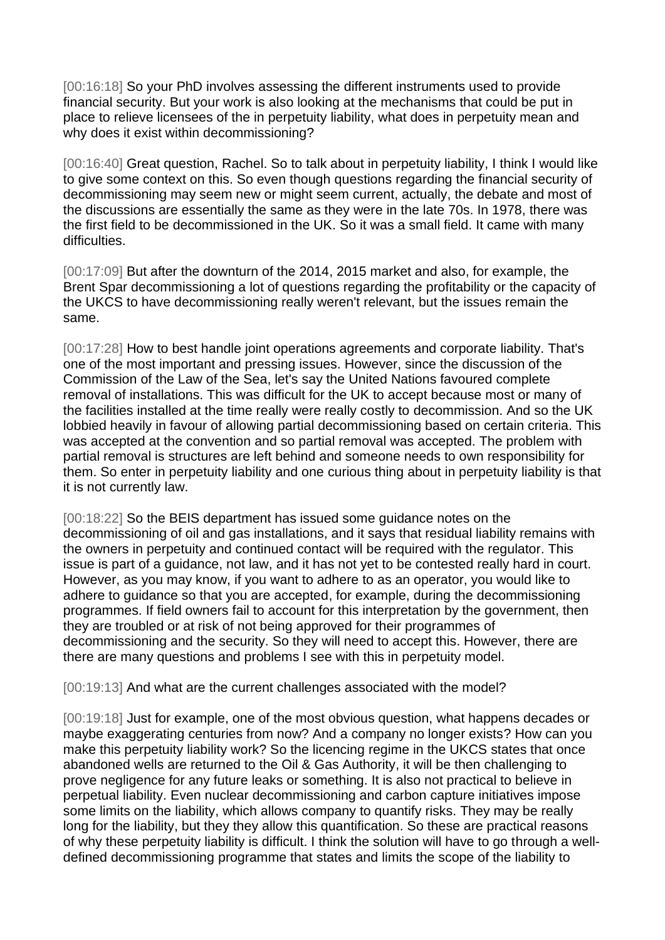[00:16:18] So your PhD involves assessing the different instruments used to provide financial security. But your work is also looking at the mechanisms that could be put in place to relieve licensees of the in perpetuity liability, what does in perpetuity mean and why does it exist within decommissioning?

[00:16:40] Great question, Rachel. So to talk about in perpetuity liability, I think I would like to give some context on this. So even though questions regarding the financial security of decommissioning may seem new or might seem current, actually, the debate and most of the discussions are essentially the same as they were in the late 70s. In 1978, there was the first field to be decommissioned in the UK. So it was a small field. It came with many difficulties.

[00:17:09] But after the downturn of the 2014, 2015 market and also, for example, the Brent Spar decommissioning a lot of questions regarding the profitability or the capacity of the UKCS to have decommissioning really weren't relevant, but the issues remain the same.

[00:17:28] How to best handle joint operations agreements and corporate liability. That's one of the most important and pressing issues. However, since the discussion of the Commission of the Law of the Sea, let's say the United Nations favoured complete removal of installations. This was difficult for the UK to accept because most or many of the facilities installed at the time really were really costly to decommission. And so the UK lobbied heavily in favour of allowing partial decommissioning based on certain criteria. This was accepted at the convention and so partial removal was accepted. The problem with partial removal is structures are left behind and someone needs to own responsibility for them. So enter in perpetuity liability and one curious thing about in perpetuity liability is that it is not currently law.

[00:18:22] So the BEIS department has issued some guidance notes on the decommissioning of oil and gas installations, and it says that residual liability remains with the owners in perpetuity and continued contact will be required with the regulator. This issue is part of a guidance, not law, and it has not yet to be contested really hard in court. However, as you may know, if you want to adhere to as an operator, you would like to adhere to guidance so that you are accepted, for example, during the decommissioning programmes. If field owners fail to account for this interpretation by the government, then they are troubled or at risk of not being approved for their programmes of decommissioning and the security. So they will need to accept this. However, there are there are many questions and problems I see with this in perpetuity model.

[00:19:13] And what are the current challenges associated with the model?

[00:19:18] Just for example, one of the most obvious question, what happens decades or maybe exaggerating centuries from now? And a company no longer exists? How can you make this perpetuity liability work? So the licencing regime in the UKCS states that once abandoned wells are returned to the Oil & Gas Authority, it will be then challenging to prove negligence for any future leaks or something. It is also not practical to believe in perpetual liability. Even nuclear decommissioning and carbon capture initiatives impose some limits on the liability, which allows company to quantify risks. They may be really long for the liability, but they they allow this quantification. So these are practical reasons of why these perpetuity liability is difficult. I think the solution will have to go through a welldefined decommissioning programme that states and limits the scope of the liability to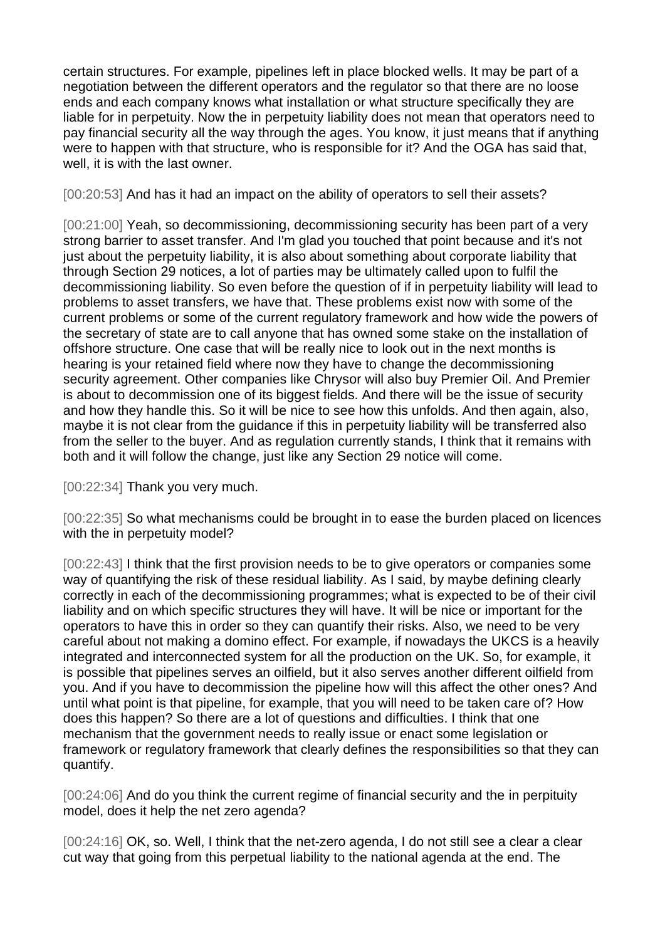certain structures. For example, pipelines left in place blocked wells. It may be part of a negotiation between the different operators and the regulator so that there are no loose ends and each company knows what installation or what structure specifically they are liable for in perpetuity. Now the in perpetuity liability does not mean that operators need to pay financial security all the way through the ages. You know, it just means that if anything were to happen with that structure, who is responsible for it? And the OGA has said that, well, it is with the last owner.

[00:20:53] And has it had an impact on the ability of operators to sell their assets?

[00:21:00] Yeah, so decommissioning, decommissioning security has been part of a very strong barrier to asset transfer. And I'm glad you touched that point because and it's not just about the perpetuity liability, it is also about something about corporate liability that through Section 29 notices, a lot of parties may be ultimately called upon to fulfil the decommissioning liability. So even before the question of if in perpetuity liability will lead to problems to asset transfers, we have that. These problems exist now with some of the current problems or some of the current regulatory framework and how wide the powers of the secretary of state are to call anyone that has owned some stake on the installation of offshore structure. One case that will be really nice to look out in the next months is hearing is your retained field where now they have to change the decommissioning security agreement. Other companies like Chrysor will also buy Premier Oil. And Premier is about to decommission one of its biggest fields. And there will be the issue of security and how they handle this. So it will be nice to see how this unfolds. And then again, also, maybe it is not clear from the guidance if this in perpetuity liability will be transferred also from the seller to the buyer. And as regulation currently stands, I think that it remains with both and it will follow the change, just like any Section 29 notice will come.

[00:22:34] Thank you very much.

[00:22:35] So what mechanisms could be brought in to ease the burden placed on licences with the in perpetuity model?

[00:22:43] I think that the first provision needs to be to give operators or companies some way of quantifying the risk of these residual liability. As I said, by maybe defining clearly correctly in each of the decommissioning programmes; what is expected to be of their civil liability and on which specific structures they will have. It will be nice or important for the operators to have this in order so they can quantify their risks. Also, we need to be very careful about not making a domino effect. For example, if nowadays the UKCS is a heavily integrated and interconnected system for all the production on the UK. So, for example, it is possible that pipelines serves an oilfield, but it also serves another different oilfield from you. And if you have to decommission the pipeline how will this affect the other ones? And until what point is that pipeline, for example, that you will need to be taken care of? How does this happen? So there are a lot of questions and difficulties. I think that one mechanism that the government needs to really issue or enact some legislation or framework or regulatory framework that clearly defines the responsibilities so that they can quantify.

[00:24:06] And do you think the current regime of financial security and the in perpituity model, does it help the net zero agenda?

[00:24:16] OK, so. Well, I think that the net-zero agenda, I do not still see a clear a clear cut way that going from this perpetual liability to the national agenda at the end. The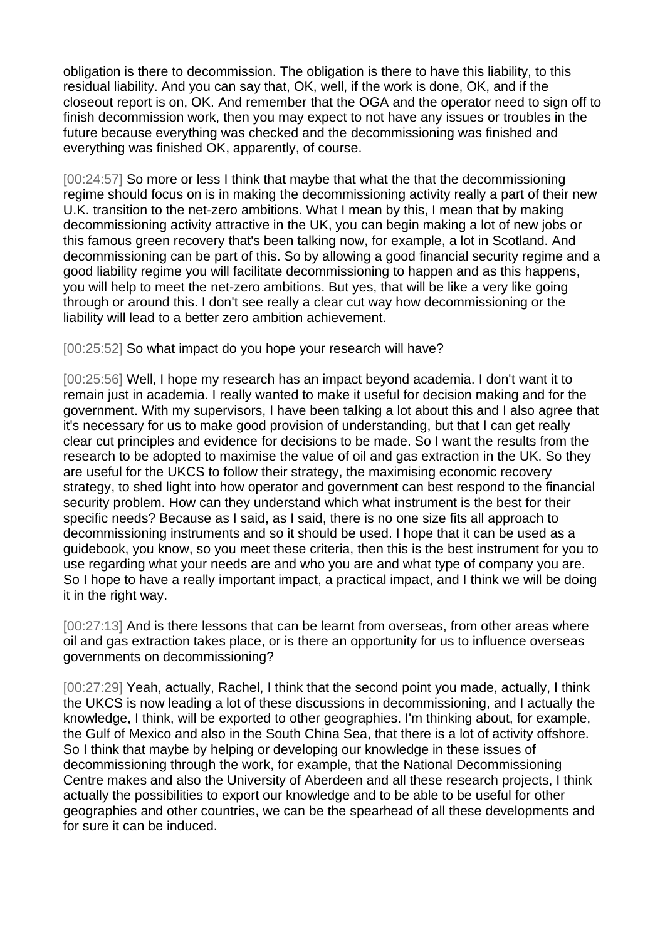obligation is there to decommission. The obligation is there to have this liability, to this residual liability. And you can say that, OK, well, if the work is done, OK, and if the closeout report is on, OK. And remember that the OGA and the operator need to sign off to finish decommission work, then you may expect to not have any issues or troubles in the future because everything was checked and the decommissioning was finished and everything was finished OK, apparently, of course.

[00:24:57] So more or less I think that maybe that what the that the decommissioning regime should focus on is in making the decommissioning activity really a part of their new U.K. transition to the net-zero ambitions. What I mean by this, I mean that by making decommissioning activity attractive in the UK, you can begin making a lot of new jobs or this famous green recovery that's been talking now, for example, a lot in Scotland. And decommissioning can be part of this. So by allowing a good financial security regime and a good liability regime you will facilitate decommissioning to happen and as this happens, you will help to meet the net-zero ambitions. But yes, that will be like a very like going through or around this. I don't see really a clear cut way how decommissioning or the liability will lead to a better zero ambition achievement.

## [00:25:52] So what impact do you hope your research will have?

[00:25:56] Well, I hope my research has an impact beyond academia. I don't want it to remain just in academia. I really wanted to make it useful for decision making and for the government. With my supervisors, I have been talking a lot about this and I also agree that it's necessary for us to make good provision of understanding, but that I can get really clear cut principles and evidence for decisions to be made. So I want the results from the research to be adopted to maximise the value of oil and gas extraction in the UK. So they are useful for the UKCS to follow their strategy, the maximising economic recovery strategy, to shed light into how operator and government can best respond to the financial security problem. How can they understand which what instrument is the best for their specific needs? Because as I said, as I said, there is no one size fits all approach to decommissioning instruments and so it should be used. I hope that it can be used as a guidebook, you know, so you meet these criteria, then this is the best instrument for you to use regarding what your needs are and who you are and what type of company you are. So I hope to have a really important impact, a practical impact, and I think we will be doing it in the right way.

[00:27:13] And is there lessons that can be learnt from overseas, from other areas where oil and gas extraction takes place, or is there an opportunity for us to influence overseas governments on decommissioning?

[00:27:29] Yeah, actually, Rachel, I think that the second point you made, actually, I think the UKCS is now leading a lot of these discussions in decommissioning, and I actually the knowledge, I think, will be exported to other geographies. I'm thinking about, for example, the Gulf of Mexico and also in the South China Sea, that there is a lot of activity offshore. So I think that maybe by helping or developing our knowledge in these issues of decommissioning through the work, for example, that the National Decommissioning Centre makes and also the University of Aberdeen and all these research projects, I think actually the possibilities to export our knowledge and to be able to be useful for other geographies and other countries, we can be the spearhead of all these developments and for sure it can be induced.